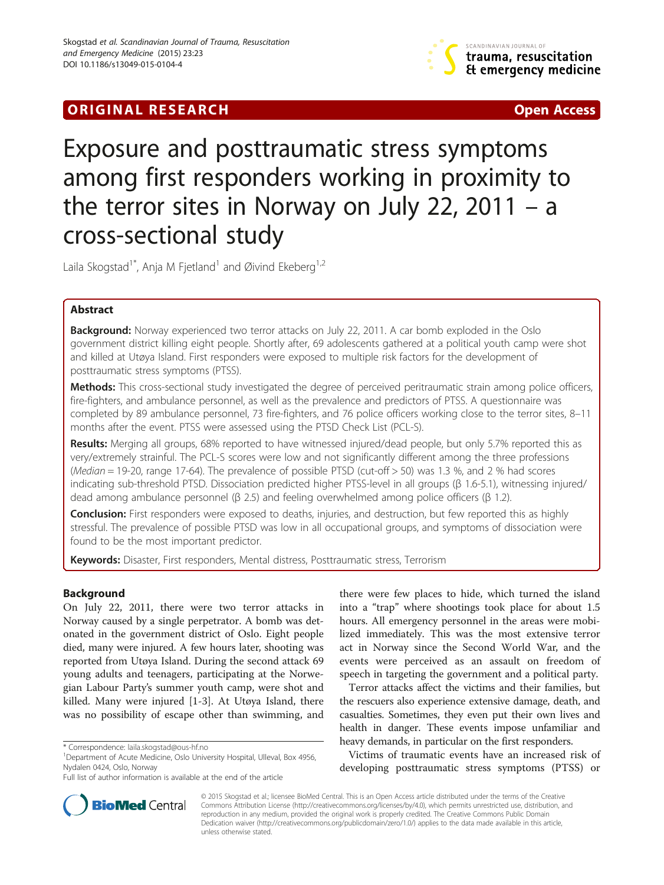## **ORIGINAL RESEARCH CHARGE ACCESS**



# Exposure and posttraumatic stress symptoms among first responders working in proximity to the terror sites in Norway on July 22, 2011 – a cross-sectional study

Laila Skogstad<sup>1\*</sup>, Anja M Fjetland<sup>1</sup> and Øivind Ekeberg<sup>1,2</sup>

## Abstract

**Background:** Norway experienced two terror attacks on July 22, 2011. A car bomb exploded in the Oslo government district killing eight people. Shortly after, 69 adolescents gathered at a political youth camp were shot and killed at Utøya Island. First responders were exposed to multiple risk factors for the development of posttraumatic stress symptoms (PTSS).

Methods: This cross-sectional study investigated the degree of perceived peritraumatic strain among police officers, fire-fighters, and ambulance personnel, as well as the prevalence and predictors of PTSS. A questionnaire was completed by 89 ambulance personnel, 73 fire-fighters, and 76 police officers working close to the terror sites, 8–11 months after the event. PTSS were assessed using the PTSD Check List (PCL-S).

Results: Merging all groups, 68% reported to have witnessed injured/dead people, but only 5.7% reported this as very/extremely strainful. The PCL-S scores were low and not significantly different among the three professions (Median = 19-20, range 17-64). The prevalence of possible PTSD (cut-off > 50) was 1.3 %, and 2 % had scores indicating sub-threshold PTSD. Dissociation predicted higher PTSS-level in all groups (β 1.6-5.1), witnessing injured/ dead among ambulance personnel (β 2.5) and feeling overwhelmed among police officers (β 1.2).

Conclusion: First responders were exposed to deaths, injuries, and destruction, but few reported this as highly stressful. The prevalence of possible PTSD was low in all occupational groups, and symptoms of dissociation were found to be the most important predictor.

Keywords: Disaster, First responders, Mental distress, Posttraumatic stress, Terrorism

### Background

On July 22, 2011, there were two terror attacks in Norway caused by a single perpetrator. A bomb was detonated in the government district of Oslo. Eight people died, many were injured. A few hours later, shooting was reported from Utøya Island. During the second attack 69 young adults and teenagers, participating at the Norwegian Labour Party's summer youth camp, were shot and killed. Many were injured [[1-3](#page-8-0)]. At Utøya Island, there was no possibility of escape other than swimming, and

there were few places to hide, which turned the island into a "trap" where shootings took place for about 1.5 hours. All emergency personnel in the areas were mobilized immediately. This was the most extensive terror act in Norway since the Second World War, and the events were perceived as an assault on freedom of speech in targeting the government and a political party.

Terror attacks affect the victims and their families, but the rescuers also experience extensive damage, death, and casualties. Sometimes, they even put their own lives and health in danger. These events impose unfamiliar and heavy demands, in particular on the first responders.

Victims of traumatic events have an increased risk of developing posttraumatic stress symptoms (PTSS) or



© 2015 Skogstad et al.; licensee BioMed Central. This is an Open Access article distributed under the terms of the Creative Commons Attribution License [\(http://creativecommons.org/licenses/by/4.0\)](http://creativecommons.org/licenses/by/4.0), which permits unrestricted use, distribution, and reproduction in any medium, provided the original work is properly credited. The Creative Commons Public Domain Dedication waiver [\(http://creativecommons.org/publicdomain/zero/1.0/](http://creativecommons.org/publicdomain/zero/1.0/)) applies to the data made available in this article, unless otherwise stated.

<sup>\*</sup> Correspondence: [laila.skogstad@ous-hf.no](mailto:laila.skogstad@ous-hf.no) <sup>1</sup>

<sup>&</sup>lt;sup>1</sup>Department of Acute Medicine, Oslo University Hospital, Ulleval, Box 4956, Nydalen 0424, Oslo, Norway

Full list of author information is available at the end of the article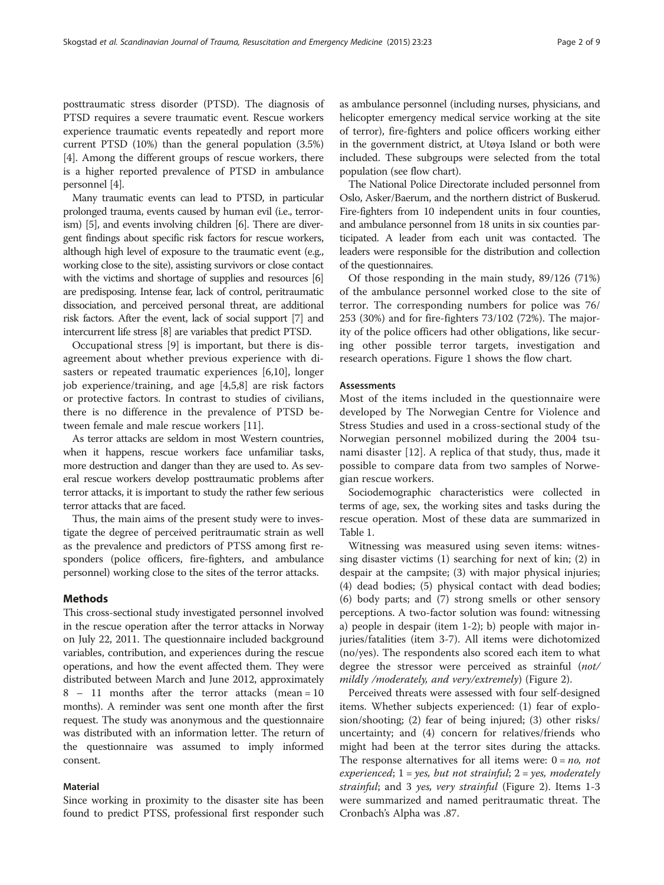posttraumatic stress disorder (PTSD). The diagnosis of PTSD requires a severe traumatic event. Rescue workers experience traumatic events repeatedly and report more current PTSD (10%) than the general population (3.5%) [[4\]](#page-8-0). Among the different groups of rescue workers, there is a higher reported prevalence of PTSD in ambulance personnel [[4](#page-8-0)].

Many traumatic events can lead to PTSD, in particular prolonged trauma, events caused by human evil (i.e., terrorism) [[5](#page-8-0)], and events involving children [\[6\]](#page-8-0). There are divergent findings about specific risk factors for rescue workers, although high level of exposure to the traumatic event (e.g., working close to the site), assisting survivors or close contact with the victims and shortage of supplies and resources [[6](#page-8-0)] are predisposing. Intense fear, lack of control, peritraumatic dissociation, and perceived personal threat, are additional risk factors. After the event, lack of social support [[7](#page-8-0)] and intercurrent life stress [\[8](#page-8-0)] are variables that predict PTSD.

Occupational stress [[9\]](#page-8-0) is important, but there is disagreement about whether previous experience with disasters or repeated traumatic experiences [\[6,10](#page-8-0)], longer job experience/training, and age [\[4,5,8](#page-8-0)] are risk factors or protective factors. In contrast to studies of civilians, there is no difference in the prevalence of PTSD between female and male rescue workers [\[11](#page-8-0)].

As terror attacks are seldom in most Western countries, when it happens, rescue workers face unfamiliar tasks, more destruction and danger than they are used to. As several rescue workers develop posttraumatic problems after terror attacks, it is important to study the rather few serious terror attacks that are faced.

Thus, the main aims of the present study were to investigate the degree of perceived peritraumatic strain as well as the prevalence and predictors of PTSS among first responders (police officers, fire-fighters, and ambulance personnel) working close to the sites of the terror attacks.

#### Methods

This cross-sectional study investigated personnel involved in the rescue operation after the terror attacks in Norway on July 22, 2011. The questionnaire included background variables, contribution, and experiences during the rescue operations, and how the event affected them. They were distributed between March and June 2012, approximately 8 – 11 months after the terror attacks (mean = 10 months). A reminder was sent one month after the first request. The study was anonymous and the questionnaire was distributed with an information letter. The return of the questionnaire was assumed to imply informed consent.

#### Material

Since working in proximity to the disaster site has been found to predict PTSS, professional first responder such

as ambulance personnel (including nurses, physicians, and helicopter emergency medical service working at the site of terror), fire-fighters and police officers working either in the government district, at Utøya Island or both were included. These subgroups were selected from the total population (see flow chart).

The National Police Directorate included personnel from Oslo, Asker/Baerum, and the northern district of Buskerud. Fire-fighters from 10 independent units in four counties, and ambulance personnel from 18 units in six counties participated. A leader from each unit was contacted. The leaders were responsible for the distribution and collection of the questionnaires.

Of those responding in the main study, 89/126 (71%) of the ambulance personnel worked close to the site of terror. The corresponding numbers for police was 76/ 253 (30%) and for fire-fighters 73/102 (72%). The majority of the police officers had other obligations, like securing other possible terror targets, investigation and research operations. Figure [1](#page-2-0) shows the flow chart.

#### **Assessments**

Most of the items included in the questionnaire were developed by The Norwegian Centre for Violence and Stress Studies and used in a cross-sectional study of the Norwegian personnel mobilized during the 2004 tsunami disaster [[12\]](#page-8-0). A replica of that study, thus, made it possible to compare data from two samples of Norwegian rescue workers.

Sociodemographic characteristics were collected in terms of age, sex, the working sites and tasks during the rescue operation. Most of these data are summarized in Table [1.](#page-3-0)

Witnessing was measured using seven items: witnessing disaster victims (1) searching for next of kin; (2) in despair at the campsite; (3) with major physical injuries; (4) dead bodies; (5) physical contact with dead bodies; (6) body parts; and (7) strong smells or other sensory perceptions. A two-factor solution was found: witnessing a) people in despair (item 1-2); b) people with major injuries/fatalities (item 3-7). All items were dichotomized (no/yes). The respondents also scored each item to what degree the stressor were perceived as strainful (not/ mildly /moderately, and very/extremely) (Figure [2](#page-3-0)).

Perceived threats were assessed with four self-designed items. Whether subjects experienced: (1) fear of explosion/shooting; (2) fear of being injured; (3) other risks/ uncertainty; and (4) concern for relatives/friends who might had been at the terror sites during the attacks. The response alternatives for all items were:  $0 = no$ , not experienced;  $1 = yes$ , but not strainful;  $2 = yes$ , moderately strainful; and 3 yes, very strainful (Figure [2\)](#page-3-0). Items 1-3 were summarized and named peritraumatic threat. The Cronbach's Alpha was .87.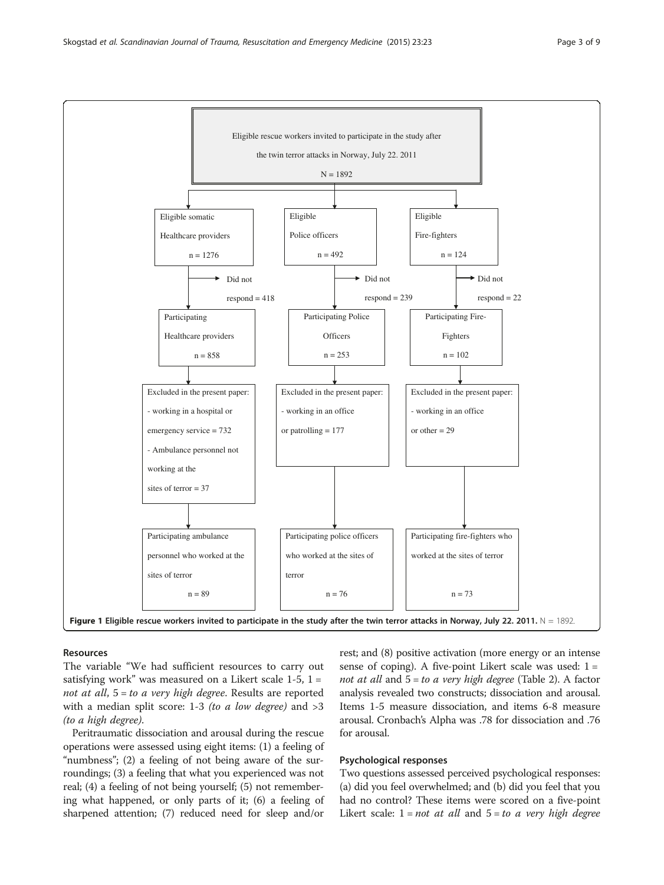<span id="page-2-0"></span>

#### Resources

The variable "We had sufficient resources to carry out satisfying work" was measured on a Likert scale  $1-5$ ,  $1=$ not at all,  $5 = to$  a very high degree. Results are reported with a median split score: 1-3 *(to a low degree)* and  $>3$ (to a high degree).

Peritraumatic dissociation and arousal during the rescue operations were assessed using eight items: (1) a feeling of "numbness"; (2) a feeling of not being aware of the surroundings; (3) a feeling that what you experienced was not real; (4) a feeling of not being yourself; (5) not remembering what happened, or only parts of it; (6) a feeling of sharpened attention; (7) reduced need for sleep and/or

rest; and (8) positive activation (more energy or an intense sense of coping). A five-point Likert scale was used:  $1 =$ not at all and  $5 = to$  a very high degree (Table [2](#page-4-0)). A factor analysis revealed two constructs; dissociation and arousal. Items 1-5 measure dissociation, and items 6-8 measure arousal. Cronbach's Alpha was .78 for dissociation and .76 for arousal.

#### Psychological responses

Two questions assessed perceived psychological responses: (a) did you feel overwhelmed; and (b) did you feel that you had no control? These items were scored on a five-point Likert scale:  $1 = not$  at all and  $5 = to$  a very high degree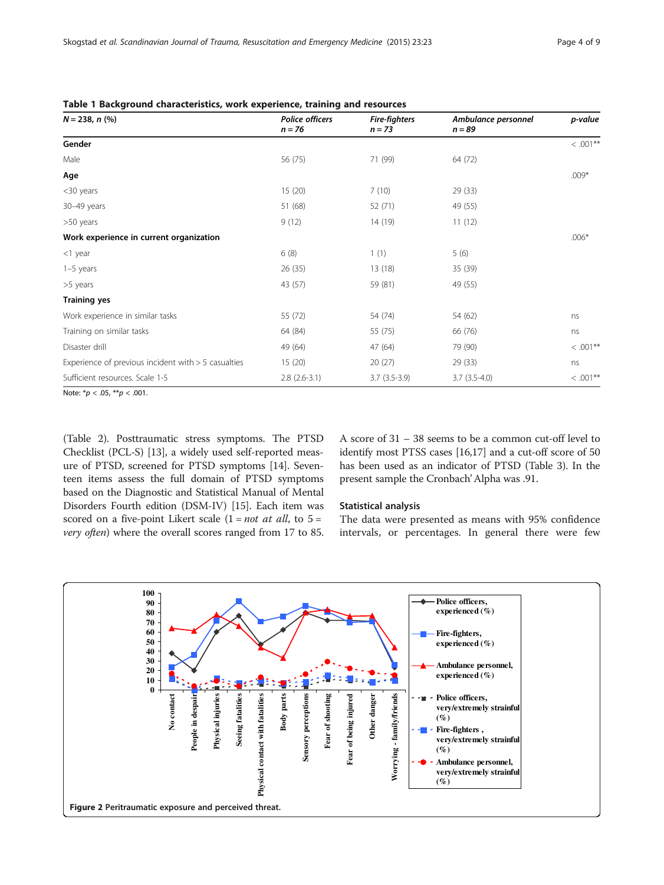| $N = 238, n$ (%)                                      | <b>Police officers</b><br>$n = 76$ | <b>Fire-fighters</b><br>$n = 73$ | Ambulance personnel<br>$n = 89$ | p-value     |
|-------------------------------------------------------|------------------------------------|----------------------------------|---------------------------------|-------------|
| Gender                                                |                                    |                                  |                                 | $< .001**$  |
| Male                                                  | 56 (75)                            | 71 (99)                          | 64 (72)                         |             |
| Age                                                   |                                    |                                  |                                 | $.009*$     |
| <30 years                                             | 15(20)                             | 7(10)                            | 29 (33)                         |             |
| 30-49 years                                           | 51 (68)                            | 52 (71)                          | 49 (55)                         |             |
| >50 years                                             | 9(12)                              | 14 (19)                          | 11(12)                          |             |
| Work experience in current organization               |                                    |                                  |                                 | $.006*$     |
| $<$ 1 year                                            | 6(8)                               | 1(1)                             | 5(6)                            |             |
| $1-5$ years                                           | 26(35)                             | 13(18)                           | 35 (39)                         |             |
| >5 years                                              | 43 (57)                            | 59 (81)                          | 49 (55)                         |             |
| <b>Training yes</b>                                   |                                    |                                  |                                 |             |
| Work experience in similar tasks                      | 55 (72)                            | 54 (74)                          | 54 (62)                         | ns          |
| Training on similar tasks                             | 64 (84)                            | 55 (75)                          | 66 (76)                         | ns          |
| Disaster drill                                        | 49 (64)                            | 47 (64)                          | 79 (90)                         | $<.001**$   |
| Experience of previous incident with $>$ 5 casualties | 15(20)                             | 20(27)                           | 29(33)                          | ns          |
| Sufficient resources. Scale 1-5                       | $2.8(2.6-3.1)$                     | $3.7(3.5-3.9)$                   | $3.7(3.5-4.0)$                  | $< .001$ ** |

<span id="page-3-0"></span>Table 1 Background characteristics, work experience, training and resources

Note:  $* p < .05, ** p < .001$ .

(Table [2\)](#page-4-0). Posttraumatic stress symptoms. The PTSD Checklist (PCL-S) [\[13](#page-8-0)], a widely used self-reported measure of PTSD, screened for PTSD symptoms [\[14\]](#page-8-0). Seventeen items assess the full domain of PTSD symptoms based on the Diagnostic and Statistical Manual of Mental Disorders Fourth edition (DSM-IV) [[15](#page-8-0)]. Each item was scored on a five-point Likert scale  $(1 = not at all, to 5 =$ very often) where the overall scores ranged from 17 to 85.

A score of 31 – 38 seems to be a common cut-off level to identify most PTSS cases [\[16,17](#page-8-0)] and a cut-off score of 50 has been used as an indicator of PTSD (Table [3\)](#page-4-0). In the present sample the Cronbach' Alpha was .91.

#### Statistical analysis

The data were presented as means with 95% confidence intervals, or percentages. In general there were few

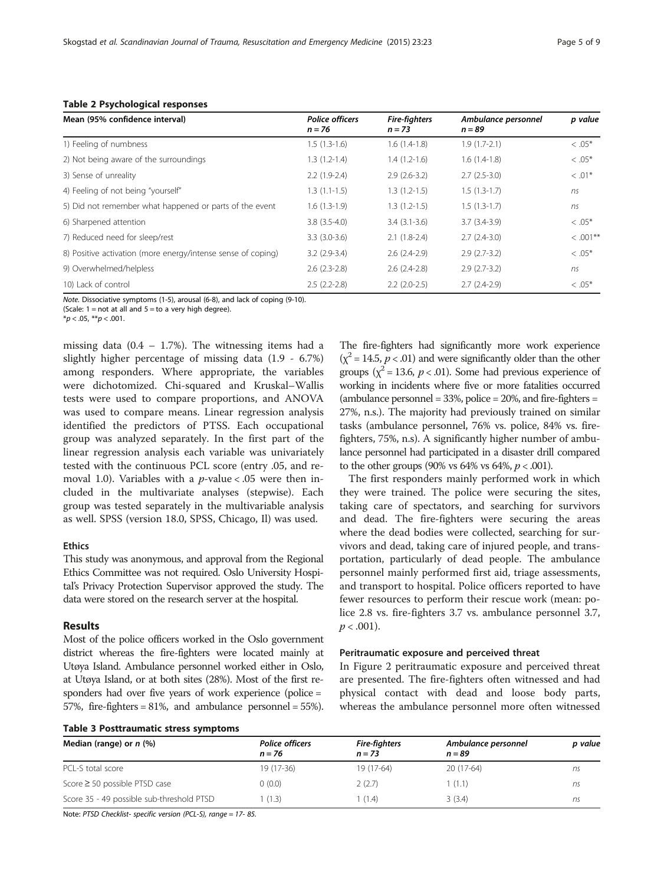<span id="page-4-0"></span>

| Mean (95% confidence interval)                               | <b>Police officers</b><br>$n = 76$ | <b>Fire-fighters</b><br>$n = 73$ | Ambulance personnel<br>$n = 89$ | p value   |  |
|--------------------------------------------------------------|------------------------------------|----------------------------------|---------------------------------|-----------|--|
| 1) Feeling of numbness                                       | $1.5(1.3-1.6)$                     | $1.6(1.4-1.8)$                   | $1.9(1.7-2.1)$                  | $<.05*$   |  |
| 2) Not being aware of the surroundings                       | $1.3(1.2-1.4)$                     | $1.4(1.2-1.6)$                   | $1.6(1.4-1.8)$                  | $<.05*$   |  |
| 3) Sense of unreality                                        | $2.2(1.9-2.4)$                     | $2.9(2.6-3.2)$                   | $2.7(2.5-3.0)$                  | $< .01*$  |  |
| 4) Feeling of not being "yourself"                           | $1.3(1.1-1.5)$                     | $1.3(1.2-1.5)$                   | $1.5(1.3-1.7)$                  | ns        |  |
| 5) Did not remember what happened or parts of the event      | $1.6(1.3-1.9)$                     | $1.3(1.2-1.5)$                   | $1.5(1.3-1.7)$                  | ns        |  |
| 6) Sharpened attention                                       | $3.8(3.5-4.0)$                     | $3.4(3.1-3.6)$                   | $3.7(3.4-3.9)$                  | $<.05*$   |  |
| 7) Reduced need for sleep/rest                               | $3.3(3.0-3.6)$                     | $2.1(1.8-2.4)$                   | $2.7(2.4-3.0)$                  | $<.001**$ |  |
| 8) Positive activation (more energy/intense sense of coping) | $3.2(2.9-3.4)$                     | $2.6(2.4-2.9)$                   | $2.9(2.7-3.2)$                  | $<.05*$   |  |
| 9) Overwhelmed/helpless                                      | $2.6(2.3-2.8)$                     | $2.6(2.4-2.8)$                   | $2.9(2.7-3.2)$                  | ns        |  |
| 10) Lack of control                                          | $2.5(2.2-2.8)$                     | $2.2$ (2.0-2.5)                  | $2.7(2.4-2.9)$                  | $<.05*$   |  |

Note. Dissociative symptoms (1-5), arousal (6-8), and lack of coping (9-10).

(Scale:  $1 = not$  at all and  $5 = to$  a very high degree).

 $*<sub>p</sub> < .05, **<sub>p</sub> < .001.$ 

missing data  $(0.4 - 1.7\%)$ . The witnessing items had a slightly higher percentage of missing data (1.9 - 6.7%) among responders. Where appropriate, the variables were dichotomized. Chi-squared and Kruskal–Wallis tests were used to compare proportions, and ANOVA was used to compare means. Linear regression analysis identified the predictors of PTSS. Each occupational group was analyzed separately. In the first part of the linear regression analysis each variable was univariately tested with the continuous PCL score (entry .05, and removal 1.0). Variables with a  $p$ -value < .05 were then included in the multivariate analyses (stepwise). Each group was tested separately in the multivariable analysis as well. SPSS (version 18.0, SPSS, Chicago, Il) was used.

#### Ethics

This study was anonymous, and approval from the Regional Ethics Committee was not required. Oslo University Hospital's Privacy Protection Supervisor approved the study. The data were stored on the research server at the hospital.

#### Results

Most of the police officers worked in the Oslo government district whereas the fire-fighters were located mainly at Utøya Island. Ambulance personnel worked either in Oslo, at Utøya Island, or at both sites (28%). Most of the first responders had over five years of work experience (police = 57%, fire-fighters = 81%, and ambulance personnel = 55%).

| The fire-fighters had significantly more work experience               |
|------------------------------------------------------------------------|
| $(\chi^2 = 14.5, p < .01)$ and were significantly older than the other |
| groups ( $\chi^2$ = 13.6, p < .01). Some had previous experience of    |
| working in incidents where five or more fatalities occurred            |
| (ambulance personnel = $33\%$ , police = $20\%$ , and fire-fighters =  |
| 27%, n.s.). The majority had previously trained on similar             |
| tasks (ambulance personnel, 76% vs. police, 84% vs. fire-              |
| fighters, 75%, n.s). A significantly higher number of ambu-            |
| lance personnel had participated in a disaster drill compared          |
| to the other groups (90% vs 64% vs 64%, $p < .001$ ).                  |

The first responders mainly performed work in which they were trained. The police were securing the sites, taking care of spectators, and searching for survivors and dead. The fire-fighters were securing the areas where the dead bodies were collected, searching for survivors and dead, taking care of injured people, and transportation, particularly of dead people. The ambulance personnel mainly performed first aid, triage assessments, and transport to hospital. Police officers reported to have fewer resources to perform their rescue work (mean: police 2.8 vs. fire-fighters 3.7 vs. ambulance personnel 3.7,  $p < .001$ ).

#### Peritraumatic exposure and perceived threat

In Figure [2](#page-3-0) peritraumatic exposure and perceived threat are presented. The fire-fighters often witnessed and had physical contact with dead and loose body parts, whereas the ambulance personnel more often witnessed

| Median (range) or $n$ (%)                 | <b>Police officers</b><br>$n = 76$ | <b>Fire-fighters</b><br>$n = 73$ | Ambulance personnel<br>$n = 89$ | p value |
|-------------------------------------------|------------------------------------|----------------------------------|---------------------------------|---------|
| PCL-S total score                         | $19(17-36)$                        | 19 (17-64)                       | 20 (17-64)                      | ns      |
| Score $\geq$ 50 possible PTSD case        | 0(0.0)                             | 2(2.7)                           | 1(1.1)                          | ns      |
| Score 35 - 49 possible sub-threshold PTSD | (1.3)                              | (1.4)                            | 3(3.4)                          | ns      |

Note: PTSD Checklist- specific version (PCL-S), range = 17- 85.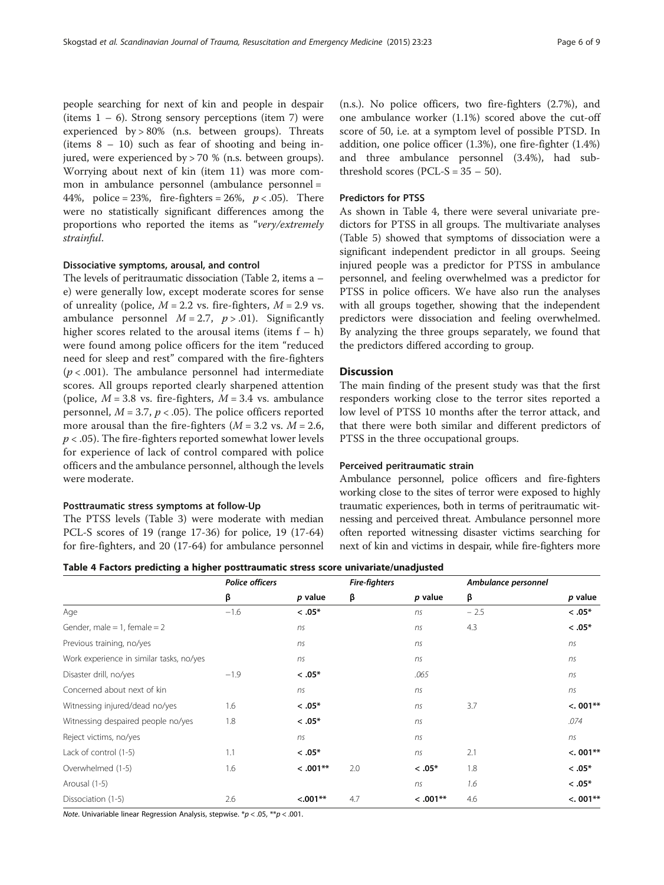people searching for next of kin and people in despair (items  $1 - 6$ ). Strong sensory perceptions (item 7) were experienced by > 80% (n.s. between groups). Threats (items 8 – 10) such as fear of shooting and being injured, were experienced by > 70 % (n.s. between groups). Worrying about next of kin (item 11) was more common in ambulance personnel (ambulance personnel = 44%, police = 23%, fire-fighters = 26%,  $p < .05$ ). There were no statistically significant differences among the proportions who reported the items as "very/extremely strainful.

#### Dissociative symptoms, arousal, and control

The levels of peritraumatic dissociation (Table [2,](#page-4-0) items a – e) were generally low, except moderate scores for sense of unreality (police,  $M = 2.2$  vs. fire-fighters,  $M = 2.9$  vs. ambulance personnel  $M = 2.7$ ,  $p > .01$ ). Significantly higher scores related to the arousal items (items  $f - h$ ) were found among police officers for the item "reduced need for sleep and rest" compared with the fire-fighters  $(p < .001)$ . The ambulance personnel had intermediate scores. All groups reported clearly sharpened attention (police,  $M = 3.8$  vs. fire-fighters,  $M = 3.4$  vs. ambulance personnel,  $M = 3.7$ ,  $p < .05$ ). The police officers reported more arousal than the fire-fighters ( $M = 3.2$  vs.  $M = 2.6$ ,  $p < .05$ ). The fire-fighters reported somewhat lower levels for experience of lack of control compared with police officers and the ambulance personnel, although the levels were moderate.

#### Posttraumatic stress symptoms at follow-Up

The PTSS levels (Table [3\)](#page-4-0) were moderate with median PCL-S scores of 19 (range 17-36) for police, 19 (17-64) for fire-fighters, and 20 (17-64) for ambulance personnel

(n.s.). No police officers, two fire-fighters (2.7%), and one ambulance worker (1.1%) scored above the cut-off score of 50, i.e. at a symptom level of possible PTSD. In addition, one police officer (1.3%), one fire-fighter (1.4%) and three ambulance personnel (3.4%), had subthreshold scores (PCL-S =  $35 - 50$ ).

#### Predictors for PTSS

As shown in Table 4, there were several univariate predictors for PTSS in all groups. The multivariate analyses (Table [5\)](#page-6-0) showed that symptoms of dissociation were a significant independent predictor in all groups. Seeing injured people was a predictor for PTSS in ambulance personnel, and feeling overwhelmed was a predictor for PTSS in police officers. We have also run the analyses with all groups together, showing that the independent predictors were dissociation and feeling overwhelmed. By analyzing the three groups separately, we found that the predictors differed according to group.

#### **Discussion**

The main finding of the present study was that the first responders working close to the terror sites reported a low level of PTSS 10 months after the terror attack, and that there were both similar and different predictors of PTSS in the three occupational groups.

#### Perceived peritraumatic strain

Ambulance personnel, police officers and fire-fighters working close to the sites of terror were exposed to highly traumatic experiences, both in terms of peritraumatic witnessing and perceived threat. Ambulance personnel more often reported witnessing disaster victims searching for next of kin and victims in despair, while fire-fighters more

#### Table 4 Factors predicting a higher posttraumatic stress score univariate/unadjusted

|                                          | <b>Police officers</b> | <b>Fire-fighters</b> |     | Ambulance personnel |        |            |
|------------------------------------------|------------------------|----------------------|-----|---------------------|--------|------------|
|                                          | β                      | p value              | β   | p value             | β      | $p$ value  |
| Age                                      | $-1.6$                 | $< .05*$             |     | ns                  | $-2.5$ | $< .05*$   |
| Gender, male = 1, female = $2$           |                        | ns                   |     | ns                  | 4.3    | $< .05*$   |
| Previous training, no/yes                |                        | ns                   |     | ns                  |        | ns         |
| Work experience in similar tasks, no/yes |                        | ns                   |     | ns                  |        | ns         |
| Disaster drill, no/yes                   | $-1.9$                 | $< 0.05*$            |     | .065                |        | ns         |
| Concerned about next of kin              |                        | ns                   |     | ns                  |        | ns         |
| Witnessing injured/dead no/yes           | 1.6                    | $< .05*$             |     | ns                  | 3.7    | $< 0.01**$ |
| Witnessing despaired people no/yes       | 1.8                    | $< .05*$             |     | ns                  |        | .074       |
| Reject victims, no/yes                   |                        | ns                   |     | ns                  |        | ns         |
| Lack of control (1-5)                    | 1.1                    | $< .05*$             |     | ns                  | 2.1    | $< 0.01**$ |
| Overwhelmed (1-5)                        | 1.6                    | $< .001**$           | 2.0 | $< .05*$            | 1.8    | $< .05*$   |
| Arousal (1-5)                            |                        |                      |     | ns                  | 1.6    | $< .05*$   |
| Dissociation (1-5)                       | 2.6                    | $< .001**$           | 4.7 | $0.001**$           | 4.6    | $< 0.01**$ |

Note. Univariable linear Regression Analysis, stepwise.  $p < .05$ ,  $p \times 001$ .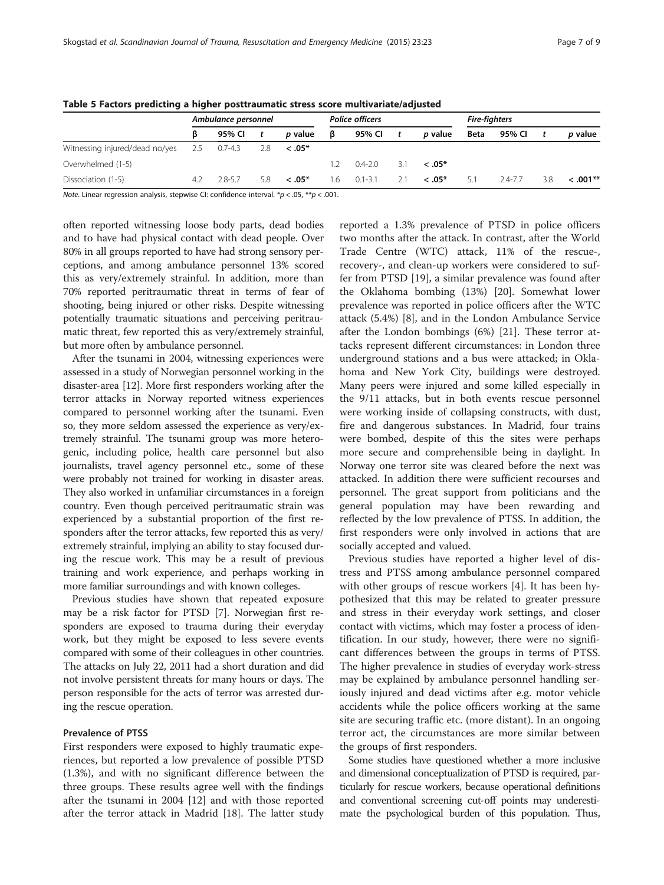|                                            | Ambulance personnel |             |              | <b>Police officers</b> |     |             | <b>Fire-fighters</b> |                |      |             |     |                |
|--------------------------------------------|---------------------|-------------|--------------|------------------------|-----|-------------|----------------------|----------------|------|-------------|-----|----------------|
|                                            |                     | 95% CI      | $\mathbf{t}$ | <i>p</i> value         | ß   | 95% CI      | $\mathbf{t}$         | <i>p</i> value | Beta | 95% CI      |     | <i>p</i> value |
| Witnessing injured/dead no/yes 2.5 0.7-4.3 |                     |             | 2.8          | $<.05*$                |     |             |                      |                |      |             |     |                |
| Overwhelmed (1-5)                          |                     |             |              |                        | 12  | $0.4 - 2.0$ | 31                   | $< 0.05*$      |      |             |     |                |
| Dissociation (1-5)                         | -42                 | $2.8 - 5.7$ | 5.8          | $<.05*$                | 1.6 | $0.1 - 3.1$ | 2.1                  | $< 0.05*$      | 5.1  | $2.4 - 7.7$ | 3.8 | $< 0.01**$     |

<span id="page-6-0"></span>Table 5 Factors predicting a higher posttraumatic stress score multivariate/adjusted

Note. Linear regression analysis, stepwise CI: confidence interval.  $*p < .05$ ,  $**p < .001$ .

often reported witnessing loose body parts, dead bodies and to have had physical contact with dead people. Over 80% in all groups reported to have had strong sensory perceptions, and among ambulance personnel 13% scored this as very/extremely strainful. In addition, more than 70% reported peritraumatic threat in terms of fear of shooting, being injured or other risks. Despite witnessing potentially traumatic situations and perceiving peritraumatic threat, few reported this as very/extremely strainful, but more often by ambulance personnel.

After the tsunami in 2004, witnessing experiences were assessed in a study of Norwegian personnel working in the disaster-area [[12\]](#page-8-0). More first responders working after the terror attacks in Norway reported witness experiences compared to personnel working after the tsunami. Even so, they more seldom assessed the experience as very/extremely strainful. The tsunami group was more heterogenic, including police, health care personnel but also journalists, travel agency personnel etc., some of these were probably not trained for working in disaster areas. They also worked in unfamiliar circumstances in a foreign country. Even though perceived peritraumatic strain was experienced by a substantial proportion of the first responders after the terror attacks, few reported this as very/ extremely strainful, implying an ability to stay focused during the rescue work. This may be a result of previous training and work experience, and perhaps working in more familiar surroundings and with known colleges.

Previous studies have shown that repeated exposure may be a risk factor for PTSD [[7\]](#page-8-0). Norwegian first responders are exposed to trauma during their everyday work, but they might be exposed to less severe events compared with some of their colleagues in other countries. The attacks on July 22, 2011 had a short duration and did not involve persistent threats for many hours or days. The person responsible for the acts of terror was arrested during the rescue operation.

#### Prevalence of PTSS

First responders were exposed to highly traumatic experiences, but reported a low prevalence of possible PTSD (1.3%), and with no significant difference between the three groups. These results agree well with the findings after the tsunami in 2004 [[12\]](#page-8-0) and with those reported after the terror attack in Madrid [\[18\]](#page-8-0). The latter study

reported a 1.3% prevalence of PTSD in police officers two months after the attack. In contrast, after the World Trade Centre (WTC) attack, 11% of the rescue-, recovery-, and clean-up workers were considered to suffer from PTSD [\[19\]](#page-8-0), a similar prevalence was found after the Oklahoma bombing (13%) [\[20](#page-8-0)]. Somewhat lower prevalence was reported in police officers after the WTC attack (5.4%) [\[8](#page-8-0)], and in the London Ambulance Service after the London bombings (6%) [\[21\]](#page-8-0). These terror attacks represent different circumstances: in London three underground stations and a bus were attacked; in Oklahoma and New York City, buildings were destroyed. Many peers were injured and some killed especially in the 9/11 attacks, but in both events rescue personnel were working inside of collapsing constructs, with dust, fire and dangerous substances. In Madrid, four trains were bombed, despite of this the sites were perhaps more secure and comprehensible being in daylight. In Norway one terror site was cleared before the next was attacked. In addition there were sufficient recourses and personnel. The great support from politicians and the general population may have been rewarding and reflected by the low prevalence of PTSS. In addition, the first responders were only involved in actions that are socially accepted and valued.

Previous studies have reported a higher level of distress and PTSS among ambulance personnel compared with other groups of rescue workers [\[4\]](#page-8-0). It has been hypothesized that this may be related to greater pressure and stress in their everyday work settings, and closer contact with victims, which may foster a process of identification. In our study, however, there were no significant differences between the groups in terms of PTSS. The higher prevalence in studies of everyday work-stress may be explained by ambulance personnel handling seriously injured and dead victims after e.g. motor vehicle accidents while the police officers working at the same site are securing traffic etc. (more distant). In an ongoing terror act, the circumstances are more similar between the groups of first responders.

Some studies have questioned whether a more inclusive and dimensional conceptualization of PTSD is required, particularly for rescue workers, because operational definitions and conventional screening cut-off points may underestimate the psychological burden of this population. Thus,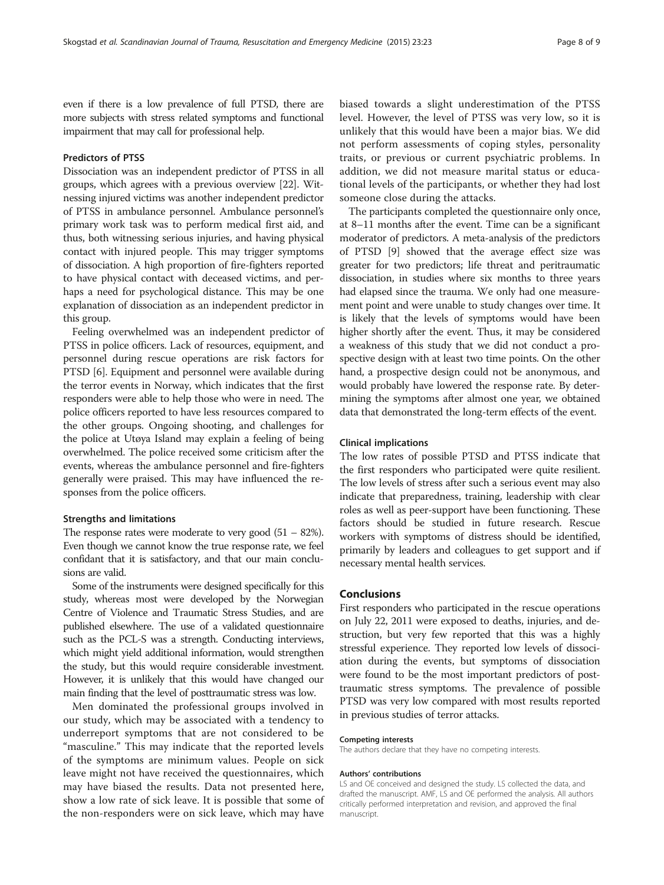even if there is a low prevalence of full PTSD, there are more subjects with stress related symptoms and functional impairment that may call for professional help.

#### Predictors of PTSS

Dissociation was an independent predictor of PTSS in all groups, which agrees with a previous overview [[22](#page-8-0)]. Witnessing injured victims was another independent predictor of PTSS in ambulance personnel. Ambulance personnel's primary work task was to perform medical first aid, and thus, both witnessing serious injuries, and having physical contact with injured people. This may trigger symptoms of dissociation. A high proportion of fire-fighters reported to have physical contact with deceased victims, and perhaps a need for psychological distance. This may be one explanation of dissociation as an independent predictor in this group.

Feeling overwhelmed was an independent predictor of PTSS in police officers. Lack of resources, equipment, and personnel during rescue operations are risk factors for PTSD [[6](#page-8-0)]. Equipment and personnel were available during the terror events in Norway, which indicates that the first responders were able to help those who were in need. The police officers reported to have less resources compared to the other groups. Ongoing shooting, and challenges for the police at Utøya Island may explain a feeling of being overwhelmed. The police received some criticism after the events, whereas the ambulance personnel and fire-fighters generally were praised. This may have influenced the responses from the police officers.

#### Strengths and limitations

The response rates were moderate to very good  $(51 - 82\%)$ . Even though we cannot know the true response rate, we feel confidant that it is satisfactory, and that our main conclusions are valid.

Some of the instruments were designed specifically for this study, whereas most were developed by the Norwegian Centre of Violence and Traumatic Stress Studies, and are published elsewhere. The use of a validated questionnaire such as the PCL-S was a strength. Conducting interviews, which might yield additional information, would strengthen the study, but this would require considerable investment. However, it is unlikely that this would have changed our main finding that the level of posttraumatic stress was low.

Men dominated the professional groups involved in our study, which may be associated with a tendency to underreport symptoms that are not considered to be "masculine." This may indicate that the reported levels of the symptoms are minimum values. People on sick leave might not have received the questionnaires, which may have biased the results. Data not presented here, show a low rate of sick leave. It is possible that some of the non-responders were on sick leave, which may have

biased towards a slight underestimation of the PTSS level. However, the level of PTSS was very low, so it is unlikely that this would have been a major bias. We did not perform assessments of coping styles, personality traits, or previous or current psychiatric problems. In addition, we did not measure marital status or educational levels of the participants, or whether they had lost someone close during the attacks.

The participants completed the questionnaire only once, at 8–11 months after the event. Time can be a significant moderator of predictors. A meta-analysis of the predictors of PTSD [\[9\]](#page-8-0) showed that the average effect size was greater for two predictors; life threat and peritraumatic dissociation, in studies where six months to three years had elapsed since the trauma. We only had one measurement point and were unable to study changes over time. It is likely that the levels of symptoms would have been higher shortly after the event. Thus, it may be considered a weakness of this study that we did not conduct a prospective design with at least two time points. On the other hand, a prospective design could not be anonymous, and would probably have lowered the response rate. By determining the symptoms after almost one year, we obtained data that demonstrated the long-term effects of the event.

#### Clinical implications

The low rates of possible PTSD and PTSS indicate that the first responders who participated were quite resilient. The low levels of stress after such a serious event may also indicate that preparedness, training, leadership with clear roles as well as peer-support have been functioning. These factors should be studied in future research. Rescue workers with symptoms of distress should be identified, primarily by leaders and colleagues to get support and if necessary mental health services.

#### Conclusions

First responders who participated in the rescue operations on July 22, 2011 were exposed to deaths, injuries, and destruction, but very few reported that this was a highly stressful experience. They reported low levels of dissociation during the events, but symptoms of dissociation were found to be the most important predictors of posttraumatic stress symptoms. The prevalence of possible PTSD was very low compared with most results reported in previous studies of terror attacks.

#### Competing interests

The authors declare that they have no competing interests.

#### Authors' contributions

LS and OE conceived and designed the study. LS collected the data, and drafted the manuscript. AMF, LS and OE performed the analysis. All authors critically performed interpretation and revision, and approved the final manuscript.